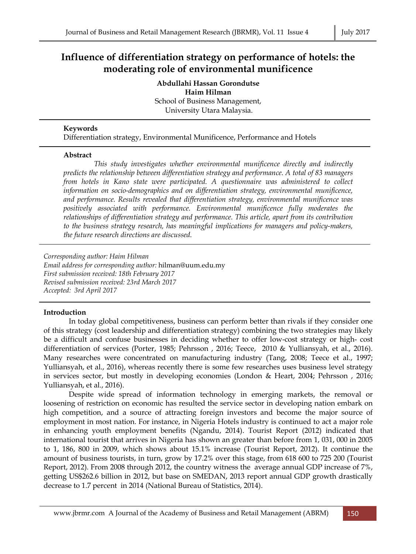# **Influence of differentiation strategy on performance of hotels: the moderating role of environmental munificence**

**Abdullahi Hassan Gorondutse Haim Hilman**  School of Business Management, University Utara Malaysia.

# **Keywords**

Differentiation strategy, Environmental Munificence, Performance and Hotels

# **Abstract**

 *This study investigates whether environmental munificence directly and indirectly predicts the relationship between differentiation strategy and performance. A total of 83 managers from hotels in Kano state were participated. A questionnaire was administered to collect information on socio-demographics and on differentiation strategy, environmental munificence, and performance. Results revealed that differentiation strategy, environmental munificence was positively associated with performance. Environmental munificence fully moderates the relationships of differentiation strategy and performance. This article, apart from its contribution to the business strategy research, has meaningful implications for managers and policy-makers, the future research directions are discussed.* 

*Corresponding author: Haim Hilman Email address for corresponding author:* hilman@uum.edu.my *First submission received: 18th February 2017 Revised submission received: 23rd March 2017 Accepted: 3rd April 2017*

# **Introduction**

 In today global competitiveness, business can perform better than rivals if they consider one of this strategy (cost leadership and differentiation strategy) combining the two strategies may likely be a difficult and confuse businesses in deciding whether to offer low-cost strategy or high- cost differentiation of services (Porter, 1985; Pehrsson , 2016; Teece, 2010 & Yulliansyah, et al., 2016). Many researches were concentrated on manufacturing industry (Tang, 2008; Teece et al., 1997; Yulliansyah, et al., 2016), whereas recently there is some few researches uses business level strategy in services sector, but mostly in developing economies (London & Heart, 2004; Pehrsson , 2016; Yulliansyah, et al., 2016).

 Despite wide spread of information technology in emerging markets, the removal or loosening of restriction on economic has resulted the service sector in developing nation embark on high competition, and a source of attracting foreign investors and become the major source of employment in most nation. For instance, in Nigeria Hotels industry is continued to act a major role in enhancing youth employment benefits (Ngandu, 2014). Tourist Report (2012) indicated that international tourist that arrives in Nigeria has shown an greater than before from 1, 031, 000 in 2005 to 1, 186, 800 in 2009, which shows about 15.1% increase (Tourist Report, 2012). It continue the amount of business tourists, in turn, grow by 17.2% over this stage, from 618 600 to 725 200 (Tourist Report, 2012). From 2008 through 2012, the country witness the average annual GDP increase of 7%, getting US\$262.6 billion in 2012, but base on SMEDAN, 2013 report annual GDP growth drastically decrease to 1.7 percent in 2014 (National Bureau of Statistics, 2014).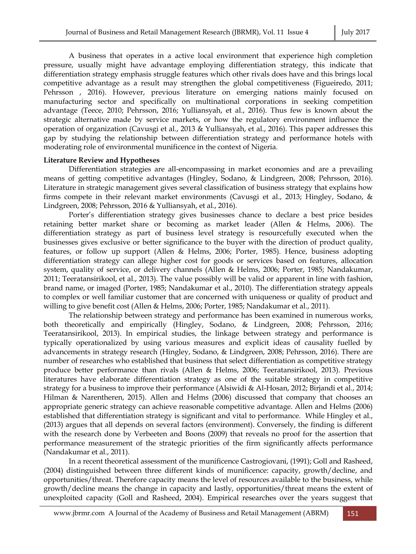A business that operates in a active local environment that experience high completion pressure, usually might have advantage employing differentiation strategy, this indicate that differentiation strategy emphasis struggle features which other rivals does have and this brings local competitive advantage as a result may strengthen the global competitiveness (Figueiredo, 2011; Pehrsson , 2016). However, previous literature on emerging nations mainly focused on manufacturing sector and specifically on multinational corporations in seeking competition advantage (Teece, 2010; Pehrsson, 2016; Yulliansyah, et al., 2016). Thus few is known about the strategic alternative made by service markets, or how the regulatory environment influence the operation of organization (Cavusgi et al., 2013 & Yulliansyah, et al., 2016). This paper addresses this gap by studying the relationship between differentiation strategy and performance hotels with moderating role of environmental munificence in the context of Nigeria.

#### **Literature Review and Hypotheses**

 Differentiation strategies are all-encompassing in market economies and are a prevailing means of getting competitive advantages (Hingley, Sodano, & Lindgreen, 2008; Pehrsson, 2016). Literature in strategic management gives several classification of business strategy that explains how firms compete in their relevant market environments (Cavusgi et al., 2013; Hingley, Sodano, & Lindgreen, 2008; Pehrsson, 2016 & Yulliansyah, et al., 2016).

 Porter's differentiation strategy gives businesses chance to declare a best price besides retaining better market share or becoming as market leader (Allen & Helms, 2006). The differentiation strategy as part of business level strategy is resourcefully executed when the businesses gives exclusive or better significance to the buyer with the direction of product quality, features, or follow up support (Allen & Helms, 2006; Porter, 1985). Hence, business adopting differentiation strategy can allege higher cost for goods or services based on features, allocation system, quality of service, or delivery channels (Allen & Helms, 2006; Porter, 1985; Nandakumar, 2011; Teeratansirikool, et al., 2013). The value possibly will be valid or apparent in line with fashion, brand name, or imaged (Porter, 1985; Nandakumar et al., 2010). The differentiation strategy appeals to complex or well familiar customer that are concerned with uniqueness or quality of product and willing to give benefit cost (Allen & Helms, 2006; Porter, 1985; Nandakumar et al., 2011).

 The relationship between strategy and performance has been examined in numerous works, both theoretically and empirically (Hingley, Sodano, & Lindgreen, 2008; Pehrsson, 2016; Teeratansirikool, 2013). In empirical studies, the linkage between strategy and performance is typically operationalized by using various measures and explicit ideas of causality fuelled by advancements in strategy research (Hingley, Sodano, & Lindgreen, 2008; Pehrsson, 2016). There are number of researches who established that business that select differentiation as competitive strategy produce better performance than rivals (Allen & Helms, 2006; Teeratansirikool, 2013). Previous literatures have elaborate differentiation strategy as one of the suitable strategy in competitive strategy for a business to improve their performance (Alsiwidi & Al-Hosan, 2012; Birjandi et al., 2014; Hilman & Narentheren, 2015). Allen and Helms (2006) discussed that company that chooses an appropriate generic strategy can achieve reasonable competitive advantage. Allen and Helms (2006) established that differentiation strategy is significant and vital to performance. While Hingley et al., (2013) argues that all depends on several factors (environment). Conversely, the finding is different with the research done by Verbeeten and Boons (2009) that reveals no proof for the assertion that performance measurement of the strategic priorities of the firm significantly affects performance (Nandakumar et al., 2011).

 In a recent theoretical assessment of the munificence Castrogiovani, (1991); Goll and Rasheed, (2004) distinguished between three different kinds of munificence: capacity, growth/decline, and opportunities/threat. Therefore capacity means the level of resources available to the business, while growth/decline means the change in capacity and lastly, opportunities/threat means the extent of unexploited capacity (Goll and Rasheed, 2004). Empirical researches over the years suggest that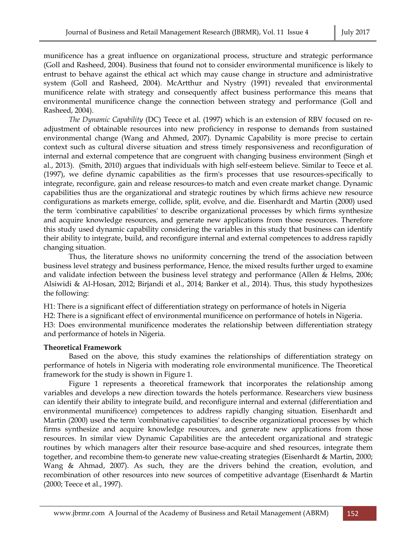munificence has a great influence on organizational process, structure and strategic performance (Goll and Rasheed, 2004). Business that found not to consider environmental munificence is likely to entrust to behave against the ethical act which may cause change in structure and administrative system (Goll and Rasheed, 2004). McArtthur and Nystry (1991) revealed that environmental munificence relate with strategy and consequently affect business performance this means that environmental munificence change the connection between strategy and performance (Goll and Rasheed, 2004).

 *The Dynamic Capability* (DC) Teece et al. (1997) which is an extension of RBV focused on readjustment of obtainable resources into new proficiency in response to demands from sustained environmental change (Wang and Ahmed, 2007). Dynamic Capability is more precise to certain context such as cultural diverse situation and stress timely responsiveness and reconfiguration of internal and external competence that are congruent with changing business environment (Singh et al., 2013). (Smith, 2010) argues that individuals with high self-esteem believe. Similar to Teece et al. (1997), we define dynamic capabilities as the firm's processes that use resources-specifically to integrate, reconfigure, gain and release resources-to match and even create market change. Dynamic capabilities thus are the organizational and strategic routines by which firms achieve new resource configurations as markets emerge, collide, split, evolve, and die. Eisenhardt and Martin (2000) used the term 'combinative capabilities' to describe organizational processes by which firms synthesize and acquire knowledge resources, and generate new applications from those resources. Therefore this study used dynamic capability considering the variables in this study that business can identify their ability to integrate, build, and reconfigure internal and external competences to address rapidly changing situation.

 Thus, the literature shows no uniformity concerning the trend of the association between business level strategy and business performance, Hence, the mixed results further urged to examine and validate infection between the business level strategy and performance (Allen & Helms, 2006; Alsiwidi & Al-Hosan, 2012; Birjandi et al., 2014; Banker et al., 2014). Thus, this study hypothesizes the following:

H1: There is a significant effect of differentiation strategy on performance of hotels in Nigeria

H2: There is a significant effect of environmental munificence on performance of hotels in Nigeria. H3: Does environmental munificence moderates the relationship between differentiation strategy and performance of hotels in Nigeria.

# **Theoretical Framework**

 Based on the above, this study examines the relationships of differentiation strategy on performance of hotels in Nigeria with moderating role environmental munificence. The Theoretical framework for the study is shown in Figure 1.

 Figure 1 represents a theoretical framework that incorporates the relationship among variables and develops a new direction towards the hotels performance. Researchers view business can identify their ability to integrate build, and reconfigure internal and external (differentiation and environmental munificence) competences to address rapidly changing situation. Eisenhardt and Martin (2000) used the term 'combinative capabilities' to describe organizational processes by which firms synthesize and acquire knowledge resources, and generate new applications from those resources. In similar view Dynamic Capabilities are the antecedent organizational and strategic routines by which managers alter their resource base-acquire and shed resources, integrate them together, and recombine them-to generate new value-creating strategies (Eisenhardt & Martin, 2000; Wang & Ahmad, 2007). As such, they are the drivers behind the creation, evolution, and recombination of other resources into new sources of competitive advantage (Eisenhardt & Martin (2000; Teece et al., 1997).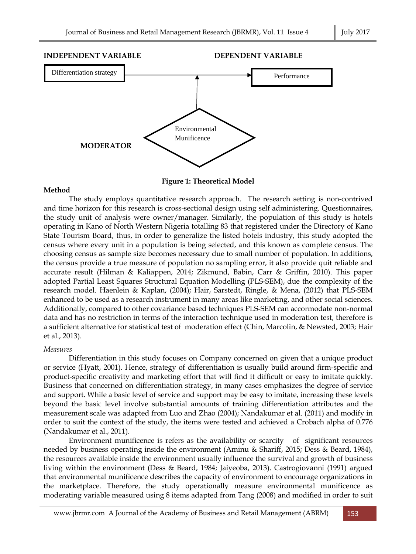

**Figure 1: Theoretical Model** 

#### **Method**

 The study employs quantitative research approach. The research setting is non-contrived and time horizon for this research is cross-sectional design using self administering. Questionnaires, the study unit of analysis were owner/manager. Similarly, the population of this study is hotels operating in Kano of North Western Nigeria totalling 83 that registered under the Directory of Kano State Tourism Board, thus, in order to generalize the listed hotels industry, this study adopted the census where every unit in a population is being selected, and this known as complete census. The choosing census as sample size becomes necessary due to small number of population. In additions, the census provide a true measure of population no sampling error, it also provide quit reliable and accurate result (Hilman & Kaliappen, 2014; Zikmund, Babin, Carr & Griffin, 2010). This paper adopted Partial Least Squares Structural Equation Modelling (PLS-SEM), due the complexity of the research model. Haenlein & Kaplan, (2004); Hair, Sarstedt, Ringle, & Mena, (2012) that PLS-SEM enhanced to be used as a research instrument in many areas like marketing, and other social sciences. Additionally, compared to other covariance based techniques PLS-SEM can accormodate non-normal data and has no restriction in terms of the interaction technique used in moderation test, therefore is a sufficient alternative for statistical test of moderation effect (Chin, Marcolin, & Newsted, 2003; Hair et al., 2013).

#### *Measures*

 Differentiation in this study focuses on Company concerned on given that a unique product or service (Hyatt, 2001). Hence, strategy of differentiation is usually build around firm-specific and product-specific creativity and marketing effort that will find it difficult or easy to imitate quickly. Business that concerned on differentiation strategy, in many cases emphasizes the degree of service and support. While a basic level of service and support may be easy to imitate, increasing these levels beyond the basic level involve substantial amounts of training differentiation attributes and the measurement scale was adapted from Luo and Zhao (2004); Nandakumar et al. (2011) and modify in order to suit the context of the study, the items were tested and achieved a Crobach alpha of 0.776 (Nandakumar et al., 2011).

 Environment munificence is refers as the availability or scarcity of significant resources needed by business operating inside the environment (Aminu & Shariff, 2015; Dess & Beard, 1984), the resources available inside the environment usually influence the survival and growth of business living within the environment (Dess & Beard, 1984; Jaiyeoba, 2013). Castrogiovanni (1991) argued that environmental munificence describes the capacity of environment to encourage organizations in the marketplace. Therefore, the study operationally measure environmental munificence as moderating variable measured using 8 items adapted from Tang (2008) and modified in order to suit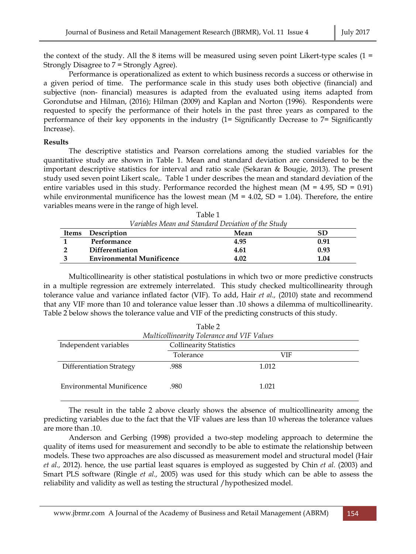the context of the study. All the 8 items will be measured using seven point Likert-type scales ( $1 =$ Strongly Disagree to 7 = Strongly Agree).

 Performance is operationalized as extent to which business records a success or otherwise in a given period of time. The performance scale in this study uses both objective (financial) and subjective (non- financial) measures is adapted from the evaluated using items adapted from Gorondutse and Hilman, (2016); Hilman (2009) and Kaplan and Norton (1996). Respondents were requested to specify the performance of their hotels in the past three years as compared to the performance of their key opponents in the industry (1= Significantly Decrease to 7= Significantly Increase).

### **Results**

 The descriptive statistics and Pearson correlations among the studied variables for the quantitative study are shown in Table 1. Mean and standard deviation are considered to be the important descriptive statistics for interval and ratio scale (Sekaran & Bougie, 2013). The present study used seven point Likert scale,. Table 1 under describes the mean and standard deviation of the entire variables used in this study. Performance recorded the highest mean  $(M = 4.95, SD = 0.91)$ while environmental munificence has the lowest mean  $(M = 4.02, SD = 1.04)$ . Therefore, the entire variables means were in the range of high level.

|       | Variables Mean and Standard Deviation of the Study |      |      |  |  |  |  |
|-------|----------------------------------------------------|------|------|--|--|--|--|
| Items | Description                                        | Mean | SD   |  |  |  |  |
|       | Performance                                        | 4.95 | 0.91 |  |  |  |  |
|       | <b>Differentiation</b>                             | 4.61 | 0.93 |  |  |  |  |

**3 Environmental Munificence 4.02 1.04** 

Table 1

 Multicollinearity is other statistical postulations in which two or more predictive constructs in a multiple regression are extremely interrelated. This study checked multicollinearity through tolerance value and variance inflated factor (VIF). To add, Hair *et al.,* (2010) state and recommend that any VIF more than 10 and tolerance value lesser than .10 shows a dilemma of multicollinearity. Table 2 below shows the tolerance value and VIF of the predicting constructs of this study.

| Table 2                                                 |                                            |       |  |  |  |
|---------------------------------------------------------|--------------------------------------------|-------|--|--|--|
|                                                         | Multicollinearity Tolerance and VIF Values |       |  |  |  |
| Independent variables<br><b>Collinearity Statistics</b> |                                            |       |  |  |  |
|                                                         | Tolerance                                  | VIF   |  |  |  |
| Differentiation Strategy                                | .988                                       | 1.012 |  |  |  |
| <b>Environmental Munificence</b>                        | .980                                       | 1.021 |  |  |  |

 The result in the table 2 above clearly shows the absence of multicollinearity among the predicting variables due to the fact that the VIF values are less than 10 whereas the tolerance values are more than .10.

 Anderson and Gerbing (1998) provided a two-step modeling approach to determine the quality of items used for measurement and secondly to be able to estimate the relationship between models. These two approaches are also discussed as measurement model and structural model (Hair *et al.,* 2012). hence, the use partial least squares is employed as suggested by Chin *et al.* (2003) and Smart PLS software (Ringle *et al.,* 2005) was used for this study which can be able to assess the reliability and validity as well as testing the structural /hypothesized model.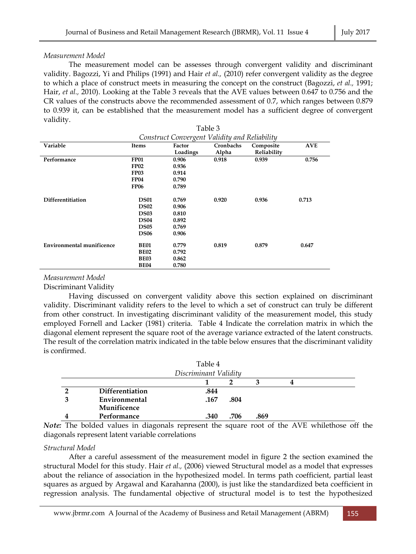# *Measurement Model*

 The measurement model can be assesses through convergent validity and discriminant validity. Bagozzi, Yi and Philips (1991) and Hair *et al.,* (2010) refer convergent validity as the degree to which a place of construct meets in measuring the concept on the construct (Bagozzi, *et al.,* 1991; Hair, *et al.,* 2010). Looking at the Table 3 reveals that the AVE values between 0.647 to 0.756 and the CR values of the constructs above the recommended assessment of 0.7, which ranges between 0.879 to 0.939 it, can be established that the measurement model has a sufficient degree of convergent validity.

| Table 3<br>Construct Convergent Validity and Reliability |             |          |       |             |       |
|----------------------------------------------------------|-------------|----------|-------|-------------|-------|
|                                                          |             |          |       |             |       |
|                                                          |             | Loadings | Alpha | Reliability |       |
| Performance                                              | <b>FP01</b> | 0.906    | 0.918 | 0.939       | 0.756 |
|                                                          | <b>FP02</b> | 0.936    |       |             |       |
|                                                          | <b>FP03</b> | 0.914    |       |             |       |
|                                                          | <b>FP04</b> | 0.790    |       |             |       |
|                                                          | <b>FP06</b> | 0.789    |       |             |       |
|                                                          |             |          |       |             |       |
| Differentitiation                                        | <b>DS01</b> | 0.769    | 0.920 | 0.936       | 0.713 |
|                                                          | <b>DS02</b> | 0.906    |       |             |       |
|                                                          | <b>DS03</b> | 0.810    |       |             |       |
|                                                          | <b>DS04</b> | 0.892    |       |             |       |
|                                                          | <b>DS05</b> | 0.769    |       |             |       |
|                                                          | <b>DS06</b> | 0.906    |       |             |       |
| <b>Environmental munificence</b>                         | <b>BE01</b> | 0.779    | 0.819 | 0.879       | 0.647 |
|                                                          | <b>BE02</b> | 0.792    |       |             |       |
|                                                          | <b>BE03</b> | 0.862    |       |             |       |
|                                                          | <b>BE04</b> | 0.780    |       |             |       |

# *Measurement Model*

Discriminant Validity

 Having discussed on convergent validity above this section explained on discriminant validity. Discriminant validity refers to the level to which a set of construct can truly be different from other construct. In investigating discriminant validity of the measurement model, this study employed Fornell and Lacker (1981) criteria. Table 4 Indicate the correlation matrix in which the diagonal element represent the square root of the average variance extracted of the latent constructs. The result of the correlation matrix indicated in the table below ensures that the discriminant validity is confirmed.

|                        | Table 4               |      |      |  |
|------------------------|-----------------------|------|------|--|
|                        | Discriminant Validity |      |      |  |
|                        |                       |      |      |  |
| <b>Differentiation</b> | .844                  |      |      |  |
| Environmental          | .167                  | .804 |      |  |
| Munificence            |                       |      |      |  |
| Performance            | .340                  | .706 | .869 |  |

*Note:* The bolded values in diagonals represent the square root of the AVE whilethose off the diagonals represent latent variable correlations

# *Structural Model*

 After a careful assessment of the measurement model in figure 2 the section examined the structural Model for this study. Hair *et al.,* (2006) viewed Structural model as a model that expresses about the reliance of association in the hypothesized model. In terms path coefficient, partial least squares as argued by Argawal and Karahanna (2000), is just like the standardized beta coefficient in regression analysis. The fundamental objective of structural model is to test the hypothesized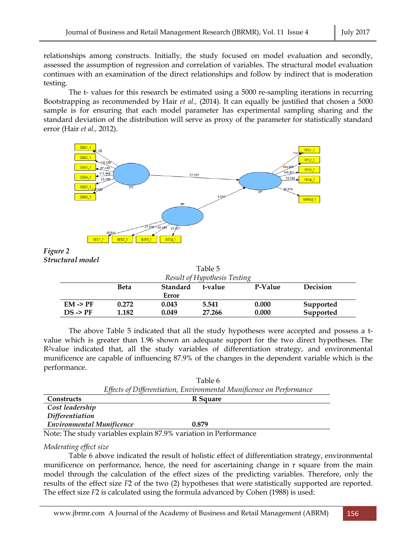relationships among constructs. Initially, the study focused on model evaluation and secondly, assessed the assumption of regression and correlation of variables. The structural model evaluation continues with an examination of the direct relationships and follow by indirect that is moderation testing.

 The t- values for this research be estimated using a 5000 re-sampling iterations in recurring Bootstrapping as recommended by Hair *et al.,* (2014). It can equally be justified that chosen a 5000 sample is for ensuring that each model parameter has experimental sampling sharing and the standard deviation of the distribution will serve as proxy of the parameter for statistically standard error (Hair *et al.,* 2012).



*Figure 2 Structural model* 

|                                                                                                                                                                                                                                                                                                                                                                                                                               | Table 5 |  |
|-------------------------------------------------------------------------------------------------------------------------------------------------------------------------------------------------------------------------------------------------------------------------------------------------------------------------------------------------------------------------------------------------------------------------------|---------|--|
| $\begin{array}{cccc} \text{1} & \text{1} & \text{1} & \text{1} & \text{1} & \text{1} & \text{1} & \text{1} & \text{1} & \text{1} & \text{1} & \text{1} & \text{1} & \text{1} & \text{1} & \text{1} & \text{1} & \text{1} & \text{1} & \text{1} & \text{1} & \text{1} & \text{1} & \text{1} & \text{1} & \text{1} & \text{1} & \text{1} & \text{1} & \text{1} & \text{1} & \text{1} & \text{1} & \text{1} & \text{1} & \text{$ |         |  |

| Result of Hypothesis Testing |       |          |         |         |           |  |
|------------------------------|-------|----------|---------|---------|-----------|--|
|                              | Beta  | Standard | t-value | P-Value | Decision  |  |
|                              |       | Error    |         |         |           |  |
| $EM \rightarrow PF$          | 0.272 | 0.043    | 5.541   | 0.000   | Supported |  |
| $DS \rightarrow PF$          | 1.182 | 0.049    | 27.266  | 0.000   | Supported |  |

 The above Table 5 indicated that all the study hypotheses were accepted and possess a tvalue which is greater than 1.96 shown an adequate support for the two direct hypotheses. The R2value indicated that, all the study variables of differentiation strategy, and environmental munificence are capable of influencing 87.9% of the changes in the dependent variable which is the performance.

|                           | Table 6                                                              |
|---------------------------|----------------------------------------------------------------------|
|                           | Effects of Differentiation, Environmental Munificence on Performance |
| Constructs                | R Square                                                             |
| Cost leadership           |                                                                      |
| <b>Differentiation</b>    |                                                                      |
| Environmental Munificence | 0.879                                                                |
|                           |                                                                      |

Note: The study variables explain 87.9% variation in Performance

*Moderating effect size* 

 Table 6 above indicated the result of holistic effect of differentiation strategy, environmental munificence on performance, hence, the need for ascertaining change in r square from the main model through the calculation of the effect sizes of the predicting variables. Therefore, only the results of the effect size *F*2 of the two (2) hypotheses that were statistically supported are reported. The effect size *F*2 is calculated using the formula advanced by Cohen (1988) is used: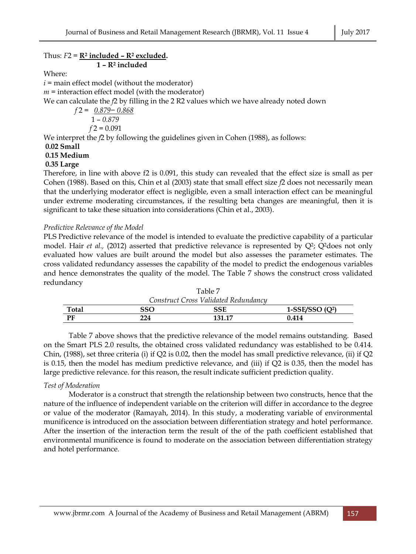| Thus: $F2 = \mathbb{R}^2$ included $\overline{\phantom{a}}$ = $\mathbb{R}^2$ excluded.   |
|------------------------------------------------------------------------------------------|
| $1 - R2$ included                                                                        |
| Where:                                                                                   |
| $i$ = main effect model (without the moderator)                                          |
| $m =$ interaction effect model (with the moderator)                                      |
| We can calculate the $f2$ by filling in the 2 R2 values which we have already noted down |
| $f2 = 0.879 - 0.868$                                                                     |
| $1 - 0.879$                                                                              |
| $f2 = 0.091$                                                                             |
| We interpret the $f2$ by following the guidelines given in Cohen $(1988)$ , as follows:  |
| $0.02$ Small                                                                             |
| 0.15 Medium                                                                              |
| $0.35$ Large                                                                             |
|                                                                                          |

Therefore, in line with above f2 is 0.091, this study can revealed that the effect size is small as per Cohen (1988). Based on this, Chin et al (2003) state that small effect size *f*2 does not necessarily mean that the underlying moderator effect is negligible, even a small interaction effect can be meaningful under extreme moderating circumstances, if the resulting beta changes are meaningful, then it is significant to take these situation into considerations (Chin et al., 2003).

# *Predictive Relevance of the Model*

PLS Predictive relevance of the model is intended to evaluate the predictive capability of a particular model. Hair *et al.,* (2012) asserted that predictive relevance is represented by Q<sup>2</sup>; Q<sup>2</sup>does not only evaluated how values are built around the model but also assesses the parameter estimates. The cross validated redundancy assesses the capability of the model to predict the endogenous variables and hence demonstrates the quality of the model. The Table 7 shows the construct cross validated redundancy

| Table 7                              |     |        |                   |  |  |  |
|--------------------------------------|-----|--------|-------------------|--|--|--|
| Construct Cross Validated Redundancy |     |        |                   |  |  |  |
| Total                                | SSO | SSE    | 1-SSE/SSO $(Q^2)$ |  |  |  |
| PF                                   | 224 | 131.17 | 0.414             |  |  |  |

 Table 7 above shows that the predictive relevance of the model remains outstanding. Based on the Smart PLS 2.0 results, the obtained cross validated redundancy was established to be 0.414. Chin,  $(1988)$ , set three criteria (i) if Q2 is 0.02, then the model has small predictive relevance, (ii) if Q2 is 0.15, then the model has medium predictive relevance, and (iii) if Q2 is 0.35, then the model has large predictive relevance. for this reason, the result indicate sufficient prediction quality.

# *Test of Moderation*

 Moderator is a construct that strength the relationship between two constructs, hence that the nature of the influence of independent variable on the criterion will differ in accordance to the degree or value of the moderator (Ramayah, 2014). In this study, a moderating variable of environmental munificence is introduced on the association between differentiation strategy and hotel performance. After the insertion of the interaction term the result of the of the path coefficient established that environmental munificence is found to moderate on the association between differentiation strategy and hotel performance.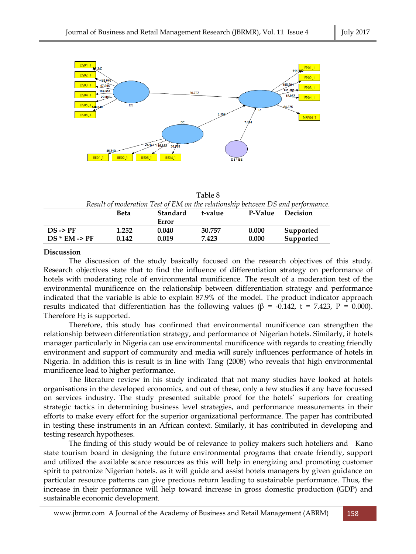

| Table 8                                                                         |
|---------------------------------------------------------------------------------|
| Result of moderation Test of EM on the relationship between DS and performance. |

|                          | Beta  | Standard<br>Error | t-value | P-Value | Decision  |
|--------------------------|-------|-------------------|---------|---------|-----------|
| $DS \rightarrow PF$      | 1.252 | 0.040             | 30.757  | 0.000   | Supported |
| $DS * EM \rightarrow PF$ | 0.142 | 0.019             | 7.423   | 0.000   | Supported |

#### **Discussion**

 The discussion of the study basically focused on the research objectives of this study. Research objectives state that to find the influence of differentiation strategy on performance of hotels with moderating role of environmental munificence. The result of a moderation test of the environmental munificence on the relationship between differentiation strategy and performance indicated that the variable is able to explain 87.9% of the model. The product indicator approach results indicated that differentiation has the following values (β = -0.142, t = 7.423, P = 0.000). Therefore  $H_3$  is supported.

 Therefore, this study has confirmed that environmental munificence can strengthen the relationship between differentiation strategy, and performance of Nigerian hotels. Similarly, if hotels manager particularly in Nigeria can use environmental munificence with regards to creating friendly environment and support of community and media will surely influences performance of hotels in Nigeria. In addition this is result is in line with Tang (2008) who reveals that high environmental munificence lead to higher performance.

 The literature review in his study indicated that not many studies have looked at hotels organisations in the developed economics, and out of these, only a few studies if any have focussed on services industry. The study presented suitable proof for the hotels' superiors for creating strategic tactics in determining business level strategies, and performance measurements in their efforts to make every effort for the superior organizational performance. The paper has contributed in testing these instruments in an African context. Similarly, it has contributed in developing and testing research hypotheses.

 The finding of this study would be of relevance to policy makers such hoteliers and Kano state tourism board in designing the future environmental programs that create friendly, support and utilized the available scarce resources as this will help in energizing and promoting customer spirit to patronize Nigerian hotels. as it will guide and assist hotels managers by given guidance on particular resource patterns can give precious return leading to sustainable performance. Thus, the increase in their performance will help toward increase in gross domestic production (GDP) and sustainable economic development.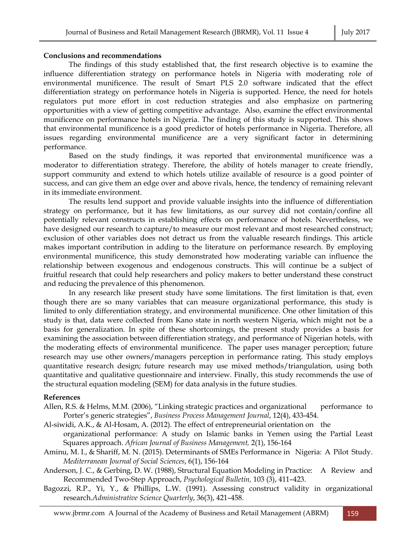#### **Conclusions and recommendations**

 The findings of this study established that, the first research objective is to examine the influence differentiation strategy on performance hotels in Nigeria with moderating role of environmental munificence. The result of Smart PLS 2.0 software indicated that the effect differentiation strategy on performance hotels in Nigeria is supported. Hence, the need for hotels regulators put more effort in cost reduction strategies and also emphasize on partnering opportunities with a view of getting competitive advantage. Also, examine the effect environmental munificence on performance hotels in Nigeria. The finding of this study is supported. This shows that environmental munificence is a good predictor of hotels performance in Nigeria. Therefore, all issues regarding environmental munificence are a very significant factor in determining performance.

 Based on the study findings, it was reported that environmental munificence was a moderator to differentiation strategy. Therefore, the ability of hotels manager to create friendly, support community and extend to which hotels utilize available of resource is a good pointer of success, and can give them an edge over and above rivals, hence, the tendency of remaining relevant in its immediate environment.

 The results lend support and provide valuable insights into the influence of differentiation strategy on performance, but it has few limitations, as our survey did not contain/confine all potentially relevant constructs in establishing effects on performance of hotels. Nevertheless, we have designed our research to capture/to measure our most relevant and most researched construct; exclusion of other variables does not detract us from the valuable research findings. This article makes important contribution in adding to the literature on performance research. By employing environmental munificence, this study demonstrated how moderating variable can influence the relationship between exogenous and endogenous constructs. This will continue be a subject of fruitful research that could help researchers and policy makers to better understand these construct and reducing the prevalence of this phenomenon.

 In any research like present study have some limitations. The first limitation is that, even though there are so many variables that can measure organizational performance, this study is limited to only differentiation strategy, and environmental munificence. One other limitation of this study is that, data were collected from Kano state in north western Nigeria, which might not be a basis for generalization. In spite of these shortcomings, the present study provides a basis for examining the association between differentiation strategy, and performance of Nigerian hotels, with the moderating effects of environmental munificence. The paper uses manager perception; future research may use other owners/managers perception in performance rating. This study employs quantitative research design; future research may use mixed methods/triangulation, using both quantitative and qualitative questionnaire and interview. Finally, this study recommends the use of the structural equation modeling (SEM) for data analysis in the future studies.

#### **References**

- Allen, R.S. & Helms, M.M. (2006), "Linking strategic practices and organizational performance to Porter's generic strategies", *Business Process Management Journal*, 12(4), 433-454.
- Al-siwidi, A.K., & Al-Hosam, A. (2012). The effect of entrepreneurial orientation on the organizational performance: A study on Islamic banks in Yemen using the Partial Least
- Squares approach. *African Journal of Business Management,* 2(1), 156-164
- Aminu, M. I., & Shariff, M. N. (2015). Determinants of SMEs Performance in Nigeria: A Pilot Study. *Mediterranean Journal of Social Sciences*, 6(1), 156-164
- Anderson, J. C., & Gerbing, D. W. (1988), Structural Equation Modeling in Practice: A Review and Recommended Two-Step Approach, *Psychological Bulletin,* 103 (3), 411–423.
- Bagozzi, R.P., Yi, Y., & Phillips, L.W. (1991). Assessing construct validity in organizational research.*Administrative Science Quarterly*, 36(3), 421–458.

www.jbrmr.com A Journal of the Academy of Business and Retail Management (ABRM) 159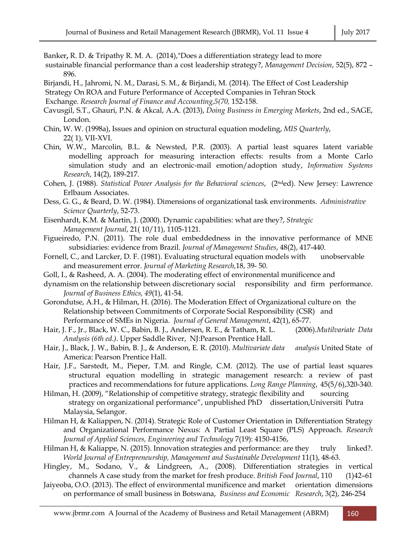Banker**,** R. D. & Tripathy R. M. A. (2014),"Does a differentiation strategy lead to more

- sustainable financial performance than a cost leadership strategy?, *Management Decision*, 52(5), 872 896.
- Birjandi, H., Jahromi, N. M., Darasi, S. M., & Birjandi, M. (2014). The Effect of Cost Leadership
- Strategy On ROA and Future Performance of Accepted Companies in Tehran Stock

Exchange. *Research Journal of Finance and Accounting,5(70,* 152-158.

- Cavusgil, S.T., Ghauri, P.N. & Akcal, A.A. (2013), *Doing Business in Emerging Markets*, 2nd ed., SAGE, London.
- Chin, W. W. (1998a), Issues and opinion on structural equation modeling, *MIS Quarterly*, 22( 1), VII-XVI.
- Chin, W.W., Marcolin, B.L. & Newsted, P.R. (2003). A partial least squares latent variable modelling approach for measuring interaction effects: results from a Monte Carlo simulation study and an electronic-mail emotion/adoption study, *Information Systems Research*, 14(2), 189-217.
- Cohen, J. (1988). *Statistical Power Analysis for the Behavioral sciences*, (2nded). New Jersey: Lawrence Erlbaum Associates.
- Dess, G. G., & Beard, D. W. (1984). Dimensions of organizational task environments. *Administrative Science Quarterly*, 52-73.
- Eisenhardt, K.M. & Martin, J. (2000). Dynamic capabilities: what are they?, *Strategic Management Journal*, 21( 10/11), 1105-1121.
- Figueiredo, P.N. (2011). The role dual embeddedness in the innovative performance of MNE subsidiaries: evidence from Brazil. *Journal of Management Studies*, 48(2), 417-440.
- Fornell, C., and Larcker, D. F. (1981). Evaluating structural equation models with unobservable and measurement error. *Journal of Marketing Research,*18, 39- 50.
- Goll, I., & Rasheed, A. A. (2004). The moderating effect of environmental munificence and
- dynamism on the relationship between discretionary social responsibility and firm performance. *Journal of Business Ethics, 49*(1), 41-54.
- Gorondutse, A.H., & Hilman, H. (2016). The Moderation Effect of Organizational culture on the Relationship between Commitments of Corporate Social Responsibility (CSR) and Performance of SMEs in Nigeria. *Journal of General Management*, 42(1), 65-77.
- Hair, J. F., Jr., Black, W. C., Babin, B. J., Andersen, R. E., & Tatham, R. L. (2006).*Mutilvariate Data Analysis (6th ed.)*. Upper Saddle River, NJ:Pearson Prentice Hall.
- Hair, J., Black, J. W., Babin, B. J., & Anderson, E. R. (2010). *Multivariate data analysis* United State of America: Pearson Prentice Hall.
- Hair, J.F., Sarstedt, M., Pieper, T.M. and Ringle, C.M. (2012). The use of partial least squares structural equation modelling in strategic management research: a review of past practices and recommendations for future applications. *Long Range Planning*, 45(5/6),320-340.
- Hilman, H. (2009), "Relationship of competitive strategy, strategic flexibility and sourcing strategy on organizational performance", unpublished PhD dissertation,Universiti Putra Malaysia, Selangor.
- Hilman H, & Kaliappen, N. (2014). Strategic Role of Customer Orientation in Differentiation Strategy and Organizational Performance Nexus: A Partial Least Square (PLS) Approach. *Research Journal of Applied Sciences, Engineering and Technology* 7(19): 4150-4156,
- Hilman H, & Kaliappe, N. (2015). Innovation strategies and performance: are they truly linked?. *World Journal of Entrepreneurship, Management and Sustainable Development* 11(1), 48-63.
- Hingley, M., Sodano, V., & Lindgreen, A., (2008). Differentiation strategies in vertical channels A case study from the market for fresh produce. *British Food Journal*, 110 (1)42–61
- Jaiyeoba, O.O. (2013). The effect of environmental munificence and market orientation dimensions on performance of small business in Botswana, *Business and Economic Research*, 3(2), 246-254